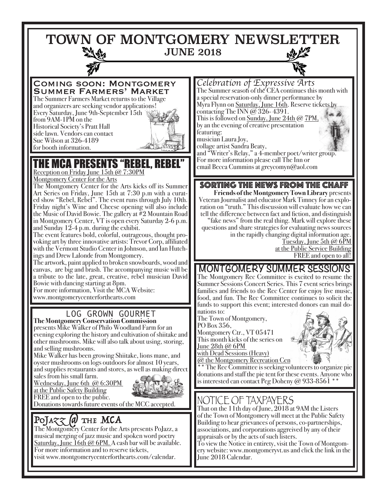TOWN OF MONTGOMERY NEWSLETTER JUNE 2018

Coming soon: Montgomery Summer Farmers' Market

The Summer Farmers Market returns to the Village and organizers are seeking vendor applications! Every Saturday, June 9th-September 15th from 9AM-1PM on the Historical Society's Pratt Hall side lawn. Vendors can contact Sue Wilson at 326-4189 for booth information.



# THE MCA PRESENTS "REBEL, REBEL"

Reception on Friday June 15th @ 7:30PM Montgomery Center for the Arts

The Montgomery Center for the Arts kicks off its Summer Art Series on Friday, June 15th at 7:30 p.m with a curated show "Rebel, Rebel". The event runs through July 10th. Friday night's Wine and Cheese opening will also include the Music of David Bowie. The gallery at  $\#2$  Mountain Road in Montgomery Center, VT is open every Saturday 2-6 p.m. and Sunday 12-4 p.m. during the exhibit.

The event features bold, colorful, outrageous, thought provoking art by three innovative artists: Trevor Corp, affiliated with the Vermont Studio Center in Johnson, and Ian Hutchings and Drew Lalonde from Montgomery.

The artwork, paint applied to broken snowboards, wood and canvas, are big and brash. The accompanying music will be a tribute to the late, great, creative, rebel musician David Bowie with dancing starting at 8pm.

For more information, Visit the MCA Website: www.montgomerycenterforthearts.com

## LOG GROWN GOURMET

**The Montgomery Conservation Commission** presents Mike Walker of Philo Woodland Farm for an evening exploring the history and cultivation of shiitake and other mushrooms. Mike will also talk about using, storing, and selling mushrooms.

Mike Walker has been growing Shiitake, lions mane, and oyster mushrooms on logs outdoors for almost 10 years, and supplies restaurants and stores, as well as making direct

sales from his small farm. Wednesday, June 6th @ 6:30PM at the Public Safety Building



FREE and open to the public. FREE and open to the public.<br>Donations towards future events of the MCC accepted. NOTICE OF TAXPAYERS

# POJA $\chi\chi$  (a) THE MCA

The Montgomery Center for the Arts presents PoJazz, a musical merging of jazz music and spoken word poetry Saturday, June  $\check{1}$ 6th @ 6PM. A cash bar will be available. For more information and to reserve tickets, visit www.montgomerycenterforthearts.com/calendar.

*Celebration of Expressive Arts* The Summer season of the CEA continues this month with a special reservation-only dinner performance by Myra Flynn on Saturday, June 16th. Reserve tickets by contacting The INN  $\omega$  326-4391. This is followed on Sunday, June 24th  $@$  7PM by an the evening of creative presentation

featuring: musician Laura Joy,

collage artist Sandra Beaty,

and "Writer's Relay," a 4-member poet/writer group. For more information please call The Inn or email Becca Cummins at greycomyn@aol.com

### SORTING THE NEWS FROM THE CHAFF

**Friends of the Montgomery Town Library** presents Veteran Journalist and educator Mark Timney for an explo- ration on "truth." This discussion will evaluate how we can tell the difference between fact and fiction, and distinguish "fake news" from the real thing. Mark will explore these questions and share strategies for evaluating news sources in the rapidly changing digital information age. Tuesday, June 5th  $@$  6PM at the Public Service Building FREE and open to all!

## **MONTGOMERY SUMMER SESSIONS**

The Montgomery Rec Committee is excited to resume the Summer Sessions Concert Series. This 7 event series brings families and friends to the Rec Center for enjoy live music, food, and fun. The Rec Committee continues to solicit the funds to support this event; interested donors can mail do-<br>nations to:

The Town of Montgomery, PO Box 356, Montgomery Ctr., VT 05471 This month kicks of the series on June 28th @ 6PM



with Dead Sessions (Heavy)  $@$  the Montgomery Recreation Cen

\*\* The Rec Committee is seeking volunteers to organize pie donations and staff the pie tent for these events. Anyone who is interested can contact Peg Doheny  $@933-8561$  \*

That on the 11th day of June, 2018 at 9AM the Listers of the Town of Montgomery will meet at the Public Safety Building to hear grievances of persons, co-partnerships, associations, and corporations aggreived by any of their appraisals or by the acts of such listers.

To view the Notice in entirety, visit the Town of Montgomery website: www.montgomeryvt.us and click the link in the June 2018 Calendar.